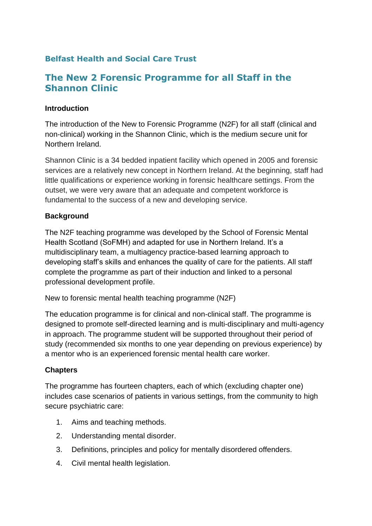## **Belfast Health and Social Care Trust**

# **The New 2 Forensic Programme for all Staff in the Shannon Clinic**

#### **Introduction**

The introduction of the New to Forensic Programme (N2F) for all staff (clinical and non-clinical) working in the Shannon Clinic, which is the medium secure unit for Northern Ireland.

Shannon Clinic is a 34 bedded inpatient facility which opened in 2005 and forensic services are a relatively new concept in Northern Ireland. At the beginning, staff had little qualifications or experience working in forensic healthcare settings. From the outset, we were very aware that an adequate and competent workforce is fundamental to the success of a new and developing service.

### **Background**

The N2F teaching programme was developed by the School of Forensic Mental Health Scotland (SoFMH) and adapted for use in Northern Ireland. It's a multidisciplinary team, a multiagency practice-based learning approach to developing staff's skills and enhances the quality of care for the patients. All staff complete the programme as part of their induction and linked to a personal professional development profile.

New to forensic mental health teaching programme (N2F)

The education programme is for clinical and non-clinical staff. The programme is designed to promote self-directed learning and is multi-disciplinary and multi-agency in approach. The programme student will be supported throughout their period of study (recommended six months to one year depending on previous experience) by a mentor who is an experienced forensic mental health care worker.

### **Chapters**

The programme has fourteen chapters, each of which (excluding chapter one) includes case scenarios of patients in various settings, from the community to high secure psychiatric care:

- 1. Aims and teaching methods.
- 2. Understanding mental disorder.
- 3. Definitions, principles and policy for mentally disordered offenders.
- 4. Civil mental health legislation.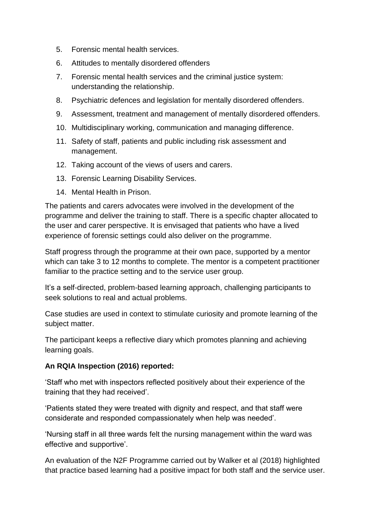- 5. Forensic mental health services.
- 6. Attitudes to mentally disordered offenders
- 7. Forensic mental health services and the criminal justice system: understanding the relationship.
- 8. Psychiatric defences and legislation for mentally disordered offenders.
- 9. Assessment, treatment and management of mentally disordered offenders.
- 10. Multidisciplinary working, communication and managing difference.
- 11. Safety of staff, patients and public including risk assessment and management.
- 12. Taking account of the views of users and carers.
- 13. Forensic Learning Disability Services.
- 14. Mental Health in Prison.

The patients and carers advocates were involved in the development of the programme and deliver the training to staff. There is a specific chapter allocated to the user and carer perspective. It is envisaged that patients who have a lived experience of forensic settings could also deliver on the programme.

Staff progress through the programme at their own pace, supported by a mentor which can take 3 to 12 months to complete. The mentor is a competent practitioner familiar to the practice setting and to the service user group.

It's a self-directed, problem-based learning approach, challenging participants to seek solutions to real and actual problems.

Case studies are used in context to stimulate curiosity and promote learning of the subject matter.

The participant keeps a reflective diary which promotes planning and achieving learning goals.

### **An RQIA Inspection (2016) reported:**

'Staff who met with inspectors reflected positively about their experience of the training that they had received'.

'Patients stated they were treated with dignity and respect, and that staff were considerate and responded compassionately when help was needed'.

'Nursing staff in all three wards felt the nursing management within the ward was effective and supportive'.

An evaluation of the N2F Programme carried out by Walker et al (2018) highlighted that practice based learning had a positive impact for both staff and the service user.